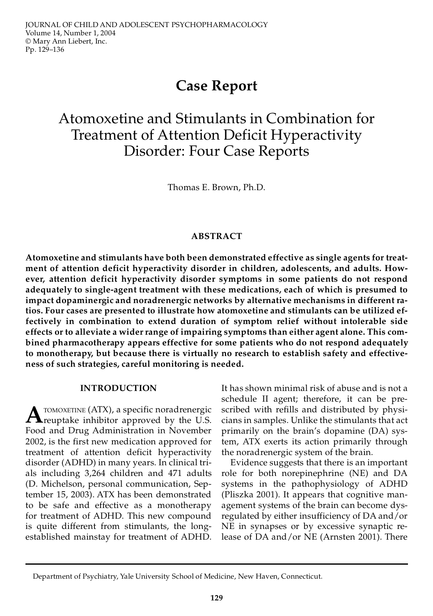# **Case Report**

# Atomoxetine and Stimulants in Combination for Treatment of Attention Deficit Hyperactivity Disorder: Four Case Reports

Thomas E. Brown, Ph.D.

# **ABSTRACT**

**Atomoxetine and stimulants have both been demonstrated effective as single agents for treatment of attention deficit hyperactivity disorder in children, adolescents, and adults. However, attention deficit hyperactivity disorder symptoms in some patients do not respond adequately to single-agent treatment with these medications, each of which is presumed to impact dopaminergic and noradrenergic networks by alternative mechanisms in different ratios. Four cases are presented to illustrate how atomoxetine and stimulants can be utilized effectively in combination to extend duration of symptom relief without intolerable side effects or to alleviate a wider range of impairing symptoms than either agent alone. This combined pharmacotherapy appears effective for some patients who do not respond adequately to monotherapy, but because there is virtually no research to establish safety and effectiveness of such strategies, careful monitoring is needed.**

### **INTRODUCTION**

**A** TOMOXETINE (ATX), a specific noradrenergic<br>reuptake inhibitor approved by the U.S. TOMOXETINE (ATX), a specific noradrenergic Food and Drug Administration in November 2002, is the first new medication approved for treatment of attention deficit hyperactivity disorder (ADHD) in many years. In clinical trials including 3,264 children and 471 adults (D. Michelson, personal communication, September 15, 2003). ATX has been demonstrated to be safe and effective as a monotherapy for treatment of ADHD. This new compound is quite different from stimulants, the longestablished mainstay for treatment of ADHD.

It has shown minimal risk of abuse and is not a schedule II agent; therefore, it can be prescribed with refills and distributed by physicians in samples. Unlike the stimulants that act primarily on the brain's dopamine (DA) system, ATX exerts its action primarily through the noradrenergic system of the brain.

Evidence suggests that there is an important role for both norepinephrine (NE) and DA systems in the pathophysiology of ADHD (Pliszka 2001). It appears that cognitive management systems of the brain can become dysregulated by either insufficiency of DA and/or NE in synapses or by excessive synaptic release of DA and/or NE (Arnsten 2001). There

Department of Psychiatry, Yale University School of Medicine, New Haven, Connecticut.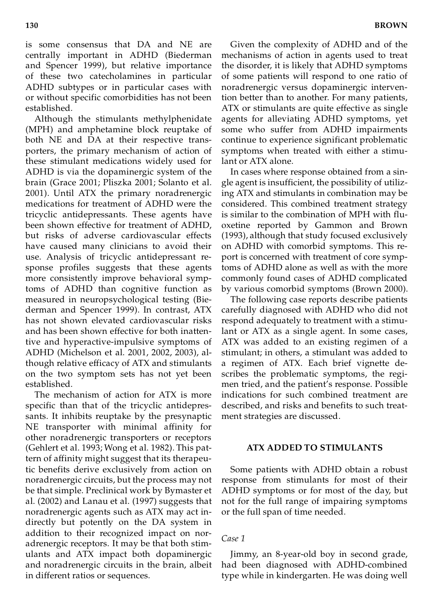is some consensus that DA and NE are centrally important in ADHD (Biederman and Spencer 1999), but relative importance of these two catecholamines in particular ADHD subtypes or in particular cases with or without specific comorbidities has not been established.

Although the stimulants methylphenidate (MPH) and amphetamine block reuptake of both NE and DA at their respective transporters, the primary mechanism of action of these stimulant medications widely used for ADHD is via the dopaminergic system of the brain (Grace 2001; Pliszka 2001; Solanto et al. 2001). Until ATX the primary noradrenergic medications for treatment of ADHD were the tricyclic antidepressants. These agents have been shown effective for treatment of ADHD, but risks of adverse cardiovascular effects have caused many clinicians to avoid their use. Analysis of tricyclic antidepressant response profiles suggests that these agents more consistently improve behavioral symptoms of ADHD than cognitive function as measured in neuropsychological testing (Biederman and Spencer 1999). In contrast, ATX has not shown elevated cardiovascular risks and has been shown effective for both inattentive and hyperactive-impulsive symptoms of ADHD (Michelson et al. 2001, 2002, 2003), although relative efficacy of ATX and stimulants on the two symptom sets has not yet been established.

The mechanism of action for ATX is more specific than that of the tricyclic antidepressants. It inhibits reuptake by the presynaptic NE transporter with minimal affinity for other noradrenergic transporters or receptors (Gehlert et al. 1993; Wong et al. 1982). This pattern of affinity might suggest that its therapeutic benefits derive exclusively from action on noradrenergic circuits, but the process may not be that simple. Preclinical work by Bymaster et al. (2002) and Lanau et al. (1997) suggests that noradrenergic agents such as ATX may act indirectly but potently on the DA system in addition to their recognized impact on noradrenergic receptors. It may be that both stimulants and ATX impact both dopaminergic and noradrenergic circuits in the brain, albeit in different ratios or sequences.

Given the complexity of ADHD and of the mechanisms of action in agents used to treat the disorder, it is likely that ADHD symptoms of some patients will respond to one ratio of noradrenergic versus dopaminergic intervention better than to another. For many patients, ATX or stimulants are quite effective as single agents for alleviating ADHD symptoms, yet some who suffer from ADHD impairments continue to experience significant problematic symptoms when treated with either a stimulant or ATX alone.

In cases where response obtained from a single agent is insufficient, the possibility of utilizing ATX and stimulants in combination may be considered. This combined treatment strategy is similar to the combination of MPH with fluoxetine reported by Gammon and Brown (1993), although that study focused exclusively on ADHD with comorbid symptoms. This report is concerned with treatment of core symptoms of ADHD alone as well as with the more commonly found cases of ADHD complicated by various comorbid symptoms (Brown 2000).

The following case reports describe patients carefully diagnosed with ADHD who did not respond adequately to treatment with a stimulant or ATX as a single agent. In some cases, ATX was added to an existing regimen of a stimulant; in others, a stimulant was added to a regimen of ATX. Each brief vignette describes the problematic symptoms, the regimen tried, and the patient's response. Possible indications for such combined treatment are described, and risks and benefits to such treatment strategies are discussed.

# **ATX ADDED TO STIMULANTS**

Some patients with ADHD obtain a robust response from stimulants for most of their ADHD symptoms or for most of the day, but not for the full range of impairing symptoms or the full span of time needed.

#### *Case 1*

Jimmy, an 8-year-old boy in second grade, had been diagnosed with ADHD-combined type while in kindergarten. He was doing well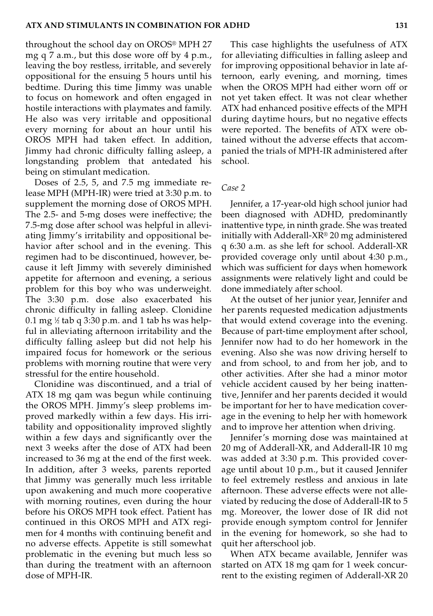throughout the school day on OROS® MPH 27 mg q 7 a.m., but this dose wore off by 4 p.m., leaving the boy restless, irritable, and severely oppositional for the ensuing 5 hours until his bedtime. During this time Jimmy was unable to focus on homework and often engaged in hostile interactions with playmates and family. He also was very irritable and oppositional every morning for about an hour until his OROS MPH had taken effect. In addition, Jimmy had chronic difficulty falling asleep, a longstanding problem that antedated his being on stimulant medication.

Doses of 2.5, 5, and 7.5 mg immediate release MPH (MPH-IR) were tried at 3:30 p.m. to supplement the morning dose of OROS MPH. The 2.5- and 5-mg doses were ineffective; the 7.5-mg dose after school was helpful in alleviating Jimmy's irritability and oppositional behavior after school and in the evening. This regimen had to be discontinued, however, because it left Jimmy with severely diminished appetite for afternoon and evening, a serious problem for this boy who was underweight. The 3:30 p.m. dose also exacerbated his chronic difficulty in falling asleep. Clonidine 0.1 mg  $\frac{1}{2}$  tab q 3:30 p.m. and 1 tab hs was helpful in alleviating afternoon irritability and the difficulty falling asleep but did not help his impaired focus for homework or the serious problems with morning routine that were very stressful for the entire household.

Clonidine was discontinued, and a trial of ATX 18 mg qam was begun while continuing the OROS MPH. Jimmy's sleep problems improved markedly within a few days. His irritability and oppositionality improved slightly within a few days and significantly over the next 3 weeks after the dose of ATX had been increased to 36 mg at the end of the first week. In addition, after 3 weeks, parents reported that Jimmy was generally much less irritable upon awakening and much more cooperative with morning routines, even during the hour before his OROS MPH took effect. Patient has continued in this OROS MPH and ATX regimen for 4 months with continuing benefit and no adverse effects. Appetite is still somewhat problematic in the evening but much less so than during the treatment with an afternoon dose of MPH-IR.

This case highlights the usefulness of ATX for alleviating difficulties in falling asleep and for improving oppositional behavior in late afternoon, early evening, and morning, times when the OROS MPH had either worn off or not yet taken effect. It was not clear whether ATX had enhanced positive effects of the MPH during daytime hours, but no negative effects were reported. The benefits of ATX were obtained without the adverse effects that accompanied the trials of MPH-IR administered after school.

## *Case 2*

Jennifer, a 17-year-old high school junior had been diagnosed with ADHD, predominantly inattentive type, in ninth grade. She was treated initially with Adderall-XR® 20 mg administered q 6:30 a.m. as she left for school. Adderall-XR provided coverage only until about 4:30 p.m., which was sufficient for days when homework assignments were relatively light and could be done immediately after school.

At the outset of her junior year, Jennifer and her parents requested medication adjustments that would extend coverage into the evening. Because of part-time employment after school, Jennifer now had to do her homework in the evening. Also she was now driving herself to and from school, to and from her job, and to other activities. After she had a minor motor vehicle accident caused by her being inattentive, Jennifer and her parents decided it would be important for her to have medication coverage in the evening to help her with homework and to improve her attention when driving.

Jennifer's morning dose was maintained at 20 mg of Adderall-XR, and Adderall-IR 10 mg was added at 3:30 p.m. This provided coverage until about 10 p.m., but it caused Jennifer to feel extremely restless and anxious in late afternoon. These adverse effects were not alleviated by reducing the dose of Adderall-IR to 5 mg. Moreover, the lower dose of IR did not provide enough symptom control for Jennifer in the evening for homework, so she had to quit her afterschool job.

When ATX became available, Jennifer was started on ATX 18 mg qam for 1 week concurrent to the existing regimen of Adderall-XR 20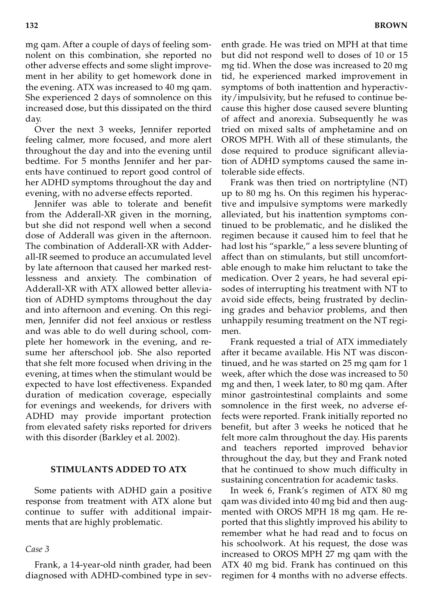mg qam. After a couple of days of feeling somnolent on this combination, she reported no other adverse effects and some slight improvement in her ability to get homework done in the evening. ATX was increased to 40 mg qam. She experienced 2 days of somnolence on this increased dose, but this dissipated on the third day.

Over the next 3 weeks, Jennifer reported feeling calmer, more focused, and more alert throughout the day and into the evening until bedtime. For 5 months Jennifer and her parents have continued to report good control of her ADHD symptoms throughout the day and evening, with no adverse effects reported.

Jennifer was able to tolerate and benefit from the Adderall-XR given in the morning, but she did not respond well when a second dose of Adderall was given in the afternoon. The combination of Adderall-XR with Adderall-IR seemed to produce an accumulated level by late afternoon that caused her marked restlessness and anxiety. The combination of Adderall-XR with ATX allowed better alleviation of ADHD symptoms throughout the day and into afternoon and evening. On this regimen, Jennifer did not feel anxious or restless and was able to do well during school, complete her homework in the evening, and resume her afterschool job. She also reported that she felt more focused when driving in the evening, at times when the stimulant would be expected to have lost effectiveness. Expanded duration of medication coverage, especially for evenings and weekends, for drivers with ADHD may provide important protection from elevated safety risks reported for drivers with this disorder (Barkley et al. 2002).

# **STIMULANTS ADDED TO ATX**

Some patients with ADHD gain a positive response from treatment with ATX alone but continue to suffer with additional impairments that are highly problematic.

# *Case 3*

Frank, a 14-year-old ninth grader, had been diagnosed with ADHD-combined type in sev-

enth grade. He was tried on MPH at that time but did not respond well to doses of 10 or 15 mg tid. When the dose was increased to 20 mg tid, he experienced marked improvement in symptoms of both inattention and hyperactivity/impulsivity, but he refused to continue because this higher dose caused severe blunting of affect and anorexia. Subsequently he was tried on mixed salts of amphetamine and on OROS MPH. With all of these stimulants, the dose required to produce significant alleviation of ADHD symptoms caused the same intolerable side effects.

Frank was then tried on nortriptyline (NT) up to 80 mg hs. On this regimen his hyperactive and impulsive symptoms were markedly alleviated, but his inattention symptoms continued to be problematic, and he disliked the regimen because it caused him to feel that he had lost his "sparkle," a less severe blunting of affect than on stimulants, but still uncomfortable enough to make him reluctant to take the medication. Over 2 years, he had several episodes of interrupting his treatment with NT to avoid side effects, being frustrated by declining grades and behavior problems, and then unhappily resuming treatment on the NT regimen.

Frank requested a trial of ATX immediately after it became available. His NT was discontinued, and he was started on 25 mg qam for 1 week, after which the dose was increased to 50 mg and then, 1 week later, to 80 mg qam. After minor gastrointestinal complaints and some somnolence in the first week, no adverse effects were reported. Frank initially reported no benefit, but after 3 weeks he noticed that he felt more calm throughout the day. His parents and teachers reported improved behavior throughout the day, but they and Frank noted that he continued to show much difficulty in sustaining concentration for academic tasks.

In week 6, Frank's regimen of ATX 80 mg qam was divided into 40 mg bid and then augmented with OROS MPH 18 mg qam. He reported that this slightly improved his ability to remember what he had read and to focus on his schoolwork. At his request, the dose was increased to OROS MPH 27 mg qam with the ATX 40 mg bid. Frank has continued on this regimen for 4 months with no adverse effects.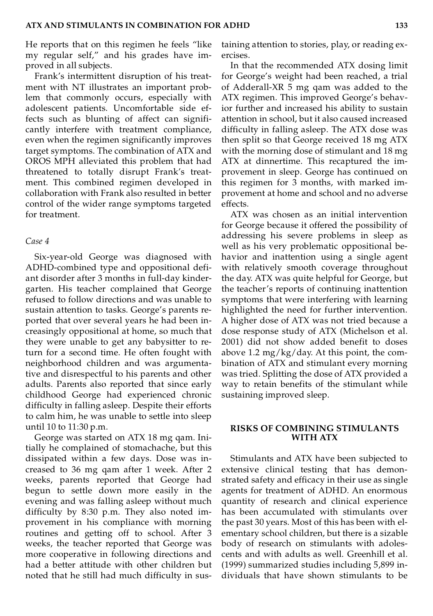He reports that on this regimen he feels "like my regular self," and his grades have improved in all subjects.

Frank's intermittent disruption of his treatment with NT illustrates an important problem that commonly occurs, especially with adolescent patients. Uncomfortable side effects such as blunting of affect can significantly interfere with treatment compliance, even when the regimen significantly improves target symptoms. The combination of ATX and OROS MPH alleviated this problem that had threatened to totally disrupt Frank's treatment. This combined regimen developed in collaboration with Frank also resulted in better control of the wider range symptoms targeted for treatment.

#### *Case 4*

Six-year-old George was diagnosed with ADHD-combined type and oppositional defiant disorder after 3 months in full-day kindergarten. His teacher complained that George refused to follow directions and was unable to sustain attention to tasks. George's parents reported that over several years he had been increasingly oppositional at home, so much that they were unable to get any babysitter to return for a second time. He often fought with neighborhood children and was argumentative and disrespectful to his parents and other adults. Parents also reported that since early childhood George had experienced chronic difficulty in falling asleep. Despite their efforts to calm him, he was unable to settle into sleep until 10 to 11:30 p.m.

George was started on ATX 18 mg qam. Initially he complained of stomachache, but this dissipated within a few days. Dose was increased to 36 mg qam after 1 week. After 2 weeks, parents reported that George had begun to settle down more easily in the evening and was falling asleep without much difficulty by 8:30 p.m. They also noted improvement in his compliance with morning routines and getting off to school. After 3 weeks, the teacher reported that George was more cooperative in following directions and had a better attitude with other children but noted that he still had much difficulty in sustaining attention to stories, play, or reading exercises.

In that the recommended ATX dosing limit for George's weight had been reached, a trial of Adderall-XR 5 mg qam was added to the ATX regimen. This improved George's behavior further and increased his ability to sustain attention in school, but it also caused increased difficulty in falling asleep. The ATX dose was then split so that George received 18 mg ATX with the morning dose of stimulant and 18 mg ATX at dinnertime. This recaptured the improvement in sleep. George has continued on this regimen for 3 months, with marked improvement at home and school and no adverse effects.

ATX was chosen as an initial intervention for George because it offered the possibility of addressing his severe problems in sleep as well as his very problematic oppositional behavior and inattention using a single agent with relatively smooth coverage throughout the day. ATX was quite helpful for George, but the teacher's reports of continuing inattention symptoms that were interfering with learning highlighted the need for further intervention. A higher dose of ATX was not tried because a dose response study of ATX (Michelson et al. 2001) did not show added benefit to doses above 1.2 mg/ $kg$ /day. At this point, the combination of ATX and stimulant every morning was tried. Splitting the dose of ATX provided a way to retain benefits of the stimulant while sustaining improved sleep.

### **RISKS OF COMBINING STIMULANTS WITH ATX**

Stimulants and ATX have been subjected to extensive clinical testing that has demonstrated safety and efficacy in their use as single agents for treatment of ADHD. An enormous quantity of research and clinical experience has been accumulated with stimulants over the past 30 years. Most of this has been with elementary school children, but there is a sizable body of research on stimulants with adolescents and with adults as well. Greenhill et al. (1999) summarized studies including 5,899 individuals that have shown stimulants to be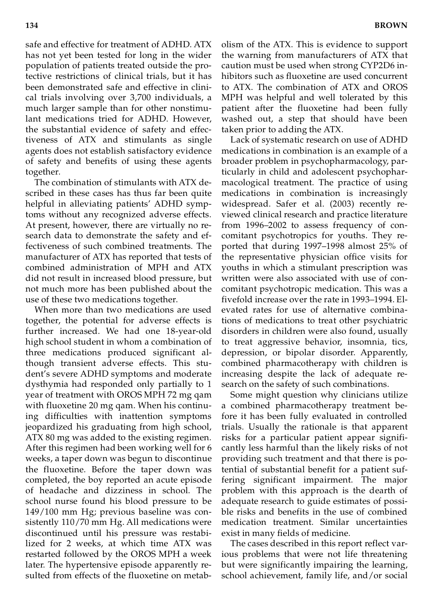safe and effective for treatment of ADHD. ATX has not yet been tested for long in the wider population of patients treated outside the protective restrictions of clinical trials, but it has been demonstrated safe and effective in clinical trials involving over 3,700 individuals, a much larger sample than for other nonstimulant medications tried for ADHD. However, the substantial evidence of safety and effectiveness of ATX and stimulants as single agents does not establish satisfactory evidence of safety and benefits of using these agents together.

The combination of stimulants with ATX described in these cases has thus far been quite helpful in alleviating patients' ADHD symptoms without any recognized adverse effects. At present, however, there are virtually no research data to demonstrate the safety and effectiveness of such combined treatments. The manufacturer of ATX has reported that tests of combined administration of MPH and ATX did not result in increased blood pressure, but not much more has been published about the use of these two medications together.

When more than two medications are used together, the potential for adverse effects is further increased. We had one 18-year-old high school student in whom a combination of three medications produced significant although transient adverse effects. This student's severe ADHD symptoms and moderate dysthymia had responded only partially to 1 year of treatment with OROS MPH 72 mg qam with fluoxetine 20 mg qam. When his continuing difficulties with inattention symptoms jeopardized his graduating from high school, ATX 80 mg was added to the existing regimen. After this regimen had been working well for 6 weeks, a taper down was begun to discontinue the fluoxetine. Before the taper down was completed, the boy reported an acute episode of headache and dizziness in school. The school nurse found his blood pressure to be 149/100 mm Hg; previous baseline was consistently 110/70 mm Hg. All medications were discontinued until his pressure was restabilized for 2 weeks, at which time ATX was restarted followed by the OROS MPH a week later. The hypertensive episode apparently resulted from effects of the fluoxetine on metab-

olism of the ATX. This is evidence to support the warning from manufacturers of ATX that caution must be used when strong CYP2D6 inhibitors such as fluoxetine are used concurrent to ATX. The combination of ATX and OROS MPH was helpful and well tolerated by this patient after the fluoxetine had been fully washed out, a step that should have been taken prior to adding the ATX.

Lack of systematic research on use of ADHD medications in combination is an example of a broader problem in psychopharmacology, particularly in child and adolescent psychopharmacological treatment. The practice of using medications in combination is increasingly widespread. Safer et al. (2003) recently reviewed clinical research and practice literature from 1996–2002 to assess frequency of concomitant psychotropics for youths. They reported that during 1997–1998 almost 25% of the representative physician office visits for youths in which a stimulant prescription was written were also associated with use of concomitant psychotropic medication. This was a fivefold increase over the rate in 1993–1994. Elevated rates for use of alternative combinations of medications to treat other psychiatric disorders in children were also found, usually to treat aggressive behavior, insomnia, tics, depression, or bipolar disorder. Apparently, combined pharmacotherapy with children is increasing despite the lack of adequate research on the safety of such combinations.

Some might question why clinicians utilize a combined pharmacotherapy treatment before it has been fully evaluated in controlled trials. Usually the rationale is that apparent risks for a particular patient appear significantly less harmful than the likely risks of not providing such treatment and that there is potential of substantial benefit for a patient suffering significant impairment. The major problem with this approach is the dearth of adequate research to guide estimates of possible risks and benefits in the use of combined medication treatment. Similar uncertainties exist in many fields of medicine.

The cases described in this report reflect various problems that were not life threatening but were significantly impairing the learning, school achievement, family life, and/or social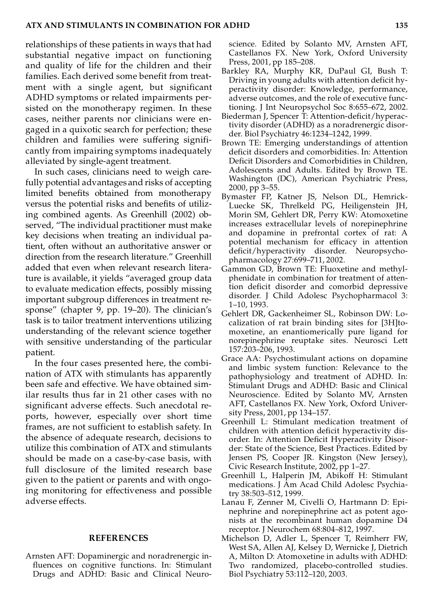relationships of these patients in ways that had substantial negative impact on functioning and quality of life for the children and their families. Each derived some benefit from treatment with a single agent, but significant ADHD symptoms or related impairments persisted on the monotherapy regimen. In these cases, neither parents nor clinicians were engaged in a quixotic search for perfection; these children and families were suffering significantly from impairing symptoms inadequately alleviated by single-agent treatment.

In such cases, clinicians need to weigh carefully potential advantages and risks of accepting limited benefits obtained from monotherapy versus the potential risks and benefits of utilizing combined agents. As Greenhill (2002) observed, "The individual practitioner must make key decisions when treating an individual patient, often without an authoritative answer or direction from the research literature." Greenhill added that even when relevant research literature is available, it yields "averaged group data to evaluate medication effects, possibly missing important subgroup differences in treatment response" (chapter 9, pp. 19–20). The clinician's task is to tailor treatment interventions utilizing understanding of the relevant science together with sensitive understanding of the particular patient.

In the four cases presented here, the combination of ATX with stimulants has apparently been safe and effective. We have obtained similar results thus far in 21 other cases with no significant adverse effects. Such anecdotal reports, however, especially over short time frames, are not sufficient to establish safety. In the absence of adequate research, decisions to utilize this combination of ATX and stimulants should be made on a case-by-case basis, with full disclosure of the limited research base given to the patient or parents and with ongoing monitoring for effectiveness and possible adverse effects.

### **REFERENCES**

Arnsten AFT: Dopaminergic and noradrenergic influences on cognitive functions. In: Stimulant Drugs and ADHD: Basic and Clinical Neuroscience. Edited by Solanto MV, Arnsten AFT, Castellanos FX. New York, Oxford University Press, 2001, pp 185–208.

- Barkley RA, Murphy KR, DuPaul GI, Bush T: Driving in young adults with attention deficit hyperactivity disorder: Knowledge, performance, adverse outcomes, and the role of executive functioning. J Int Neuropsychol Soc 8:655–672, 2002.
- Biederman J, Spencer T: Attention-deficit/hyperactivity disorder (ADHD) as a noradrenergic disorder. Biol Psychiatry 46:1234–1242, 1999.
- Brown TE: Emerging understandings of attention deficit disorders and comorbidities. In: Attention Deficit Disorders and Comorbidities in Children, Adolescents and Adults. Edited by Brown TE. Washington (DC), American Psychiatric Press, 2000, pp 3–55.
- Bymaster FP, Katner JS, Nelson DL, Hemrick-Luecke SK, Threlkeld PG, Heiligenstein JH, Morin SM, Gehlert DR, Perry KW: Atomoxetine increases extracellular levels of norepinephrine and dopamine in prefrontal cortex of rat: A potential mechanism for efficacy in attention deficit/hyperactivity disorder. Neuropsychopharmacology 27:699–711, 2002.
- Gammon GD, Brown TE: Fluoxetine and methylphenidate in combination for treatment of attention deficit disorder and comorbid depressive disorder. J Child Adolesc Psychopharmacol 3: 1–10, 1993.
- Gehlert DR, Gackenheimer SL, Robinson DW: Localization of rat brain binding sites for [3H]tomoxetine, an enantiomerically pure ligand for norepinephrine reuptake sites. Neurosci Lett 157:203–206, 1993.
- Grace AA: Psychostimulant actions on dopamine and limbic system function: Relevance to the pathophysiology and treatment of ADHD. In: Stimulant Drugs and ADHD: Basic and Clinical Neuroscience. Edited by Solanto MV, Arnsten AFT, Castellanos FX. New York, Oxford University Press, 2001, pp 134–157.
- Greenhill L: Stimulant medication treatment of children with attention deficit hyperactivity disorder. In: Attention Deficit Hyperactivity Disorder: State of the Science, Best Practices. Edited by Jensen PS, Cooper JR. Kingston (New Jersey), Civic Research Institute, 2002, pp 1–27.
- Greenhill L, Halperin JM, Abikoff H: Stimulant medications. J Am Acad Child Adolesc Psychiatry 38:503–512, 1999.
- Lanau F, Zenner M, Civelli O, Hartmann D: Epinephrine and norepinephrine act as potent agonists at the recombinant human dopamine D4 receptor. J Neurochem 68:804–812, 1997.
- Michelson D, Adler L, Spencer T, Reimherr FW, West SA, Allen AJ, Kelsey D, Wernicke J, Dietrich A, Milton D: Atomoxetine in adults with ADHD: Two randomized, placebo-controlled studies. Biol Psychiatry 53:112–120, 2003.